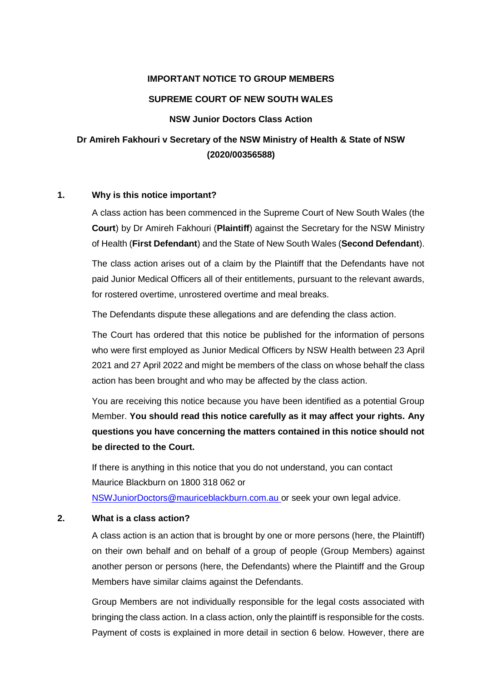#### **IMPORTANT NOTICE TO GROUP MEMBERS**

#### **SUPREME COURT OF NEW SOUTH WALES**

#### **NSW Junior Doctors Class Action**

# **Dr Amireh Fakhouri v Secretary of the NSW Ministry of Health & State of NSW (2020/00356588)**

#### **1. Why is this notice important?**

A class action has been commenced in the Supreme Court of New South Wales (the **Court**) by Dr Amireh Fakhouri (**Plaintiff**) against the Secretary for the NSW Ministry of Health (**First Defendant**) and the State of New South Wales (**Second Defendant**).

The class action arises out of a claim by the Plaintiff that the Defendants have not paid Junior Medical Officers all of their entitlements, pursuant to the relevant awards, for rostered overtime, unrostered overtime and meal breaks.

The Defendants dispute these allegations and are defending the class action.

The Court has ordered that this notice be published for the information of persons who were first employed as Junior Medical Officers by NSW Health between 23 April 2021 and 27 April 2022 and might be members of the class on whose behalf the class action has been brought and who may be affected by the class action.

You are receiving this notice because you have been identified as a potential Group Member. **You should read this notice carefully as it may affect your rights. Any questions you have concerning the matters contained in this notice should not be directed to the Court.**

If there is anything in this notice that you do not understand, you can contact Maurice Blackburn on 1800 318 062 or [NSWJuniorDoctors@mauriceblackburn.com.au](mailto:NSWJuniorDoctors@mauriceblackburn.com.au) or seek your own legal advice.

#### **2. What is a class action?**

A class action is an action that is brought by one or more persons (here, the Plaintiff) on their own behalf and on behalf of a group of people (Group Members) against another person or persons (here, the Defendants) where the Plaintiff and the Group Members have similar claims against the Defendants.

Group Members are not individually responsible for the legal costs associated with bringing the class action. In a class action, only the plaintiff is responsible for the costs. Payment of costs is explained in more detail in section 6 below. However, there are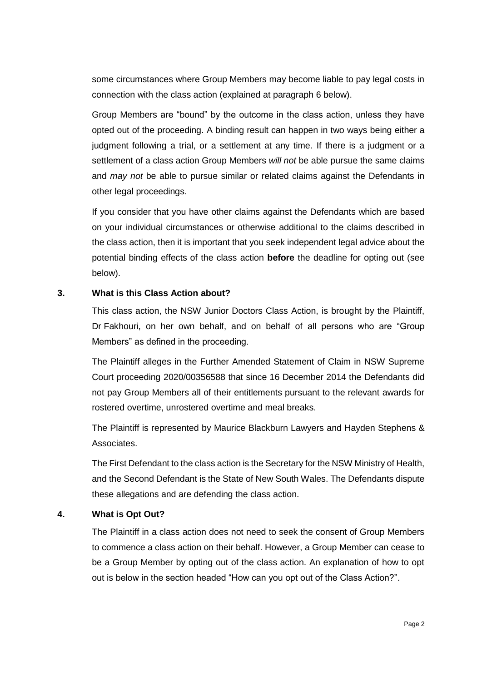some circumstances where Group Members may become liable to pay legal costs in connection with the class action (explained at paragraph 6 below).

Group Members are "bound" by the outcome in the class action, unless they have opted out of the proceeding. A binding result can happen in two ways being either a judgment following a trial, or a settlement at any time. If there is a judgment or a settlement of a class action Group Members *will not* be able pursue the same claims and *may not* be able to pursue similar or related claims against the Defendants in other legal proceedings.

If you consider that you have other claims against the Defendants which are based on your individual circumstances or otherwise additional to the claims described in the class action, then it is important that you seek independent legal advice about the potential binding effects of the class action **before** the deadline for opting out (see below).

#### **3. What is this Class Action about?**

This class action, the NSW Junior Doctors Class Action, is brought by the Plaintiff, Dr Fakhouri, on her own behalf, and on behalf of all persons who are "Group Members" as defined in the proceeding.

The Plaintiff alleges in the Further Amended Statement of Claim in NSW Supreme Court proceeding 2020/00356588 that since 16 December 2014 the Defendants did not pay Group Members all of their entitlements pursuant to the relevant awards for rostered overtime, unrostered overtime and meal breaks.

The Plaintiff is represented by Maurice Blackburn Lawyers and Hayden Stephens & Associates.

The First Defendant to the class action is the Secretary for the NSW Ministry of Health, and the Second Defendant is the State of New South Wales. The Defendants dispute these allegations and are defending the class action.

## **4. What is Opt Out?**

The Plaintiff in a class action does not need to seek the consent of Group Members to commence a class action on their behalf. However, a Group Member can cease to be a Group Member by opting out of the class action. An explanation of how to opt out is below in the section headed "How can you opt out of the Class Action?".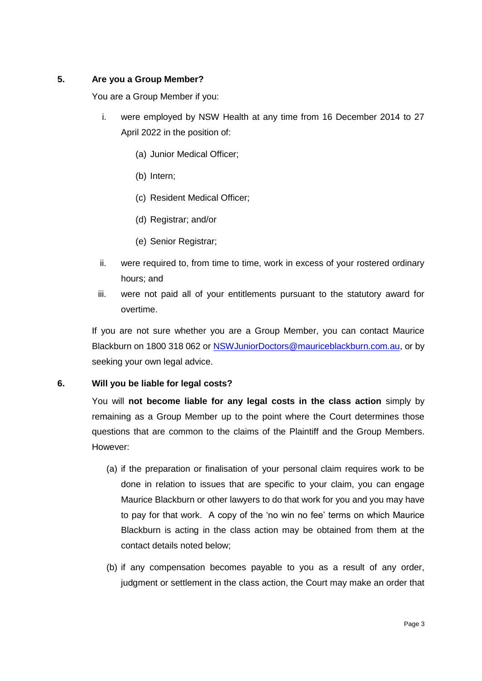# **5. Are you a Group Member?**

You are a Group Member if you:

- i. were employed by NSW Health at any time from 16 December 2014 to 27 April 2022 in the position of:
	- (a) Junior Medical Officer;
	- (b) Intern;
	- (c) Resident Medical Officer;
	- (d) Registrar; and/or
	- (e) Senior Registrar;
- ii. were required to, from time to time, work in excess of your rostered ordinary hours; and
- iii. were not paid all of your entitlements pursuant to the statutory award for overtime.

If you are not sure whether you are a Group Member, you can contact Maurice Blackburn on 1800 318 062 or NSW JuniorDoctors@mauriceblackburn.com.au, or by seeking your own legal advice.

## **6. Will you be liable for legal costs?**

You will **not become liable for any legal costs in the class action** simply by remaining as a Group Member up to the point where the Court determines those questions that are common to the claims of the Plaintiff and the Group Members. However:

- (a) if the preparation or finalisation of your personal claim requires work to be done in relation to issues that are specific to your claim, you can engage Maurice Blackburn or other lawyers to do that work for you and you may have to pay for that work. A copy of the 'no win no fee' terms on which Maurice Blackburn is acting in the class action may be obtained from them at the contact details noted below;
- (b) if any compensation becomes payable to you as a result of any order, judgment or settlement in the class action, the Court may make an order that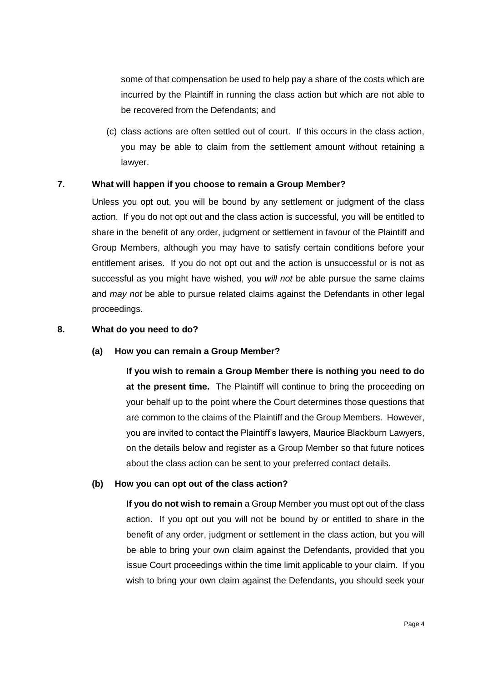some of that compensation be used to help pay a share of the costs which are incurred by the Plaintiff in running the class action but which are not able to be recovered from the Defendants; and

(c) class actions are often settled out of court. If this occurs in the class action, you may be able to claim from the settlement amount without retaining a lawyer.

## **7. What will happen if you choose to remain a Group Member?**

Unless you opt out, you will be bound by any settlement or judgment of the class action. If you do not opt out and the class action is successful, you will be entitled to share in the benefit of any order, judgment or settlement in favour of the Plaintiff and Group Members, although you may have to satisfy certain conditions before your entitlement arises. If you do not opt out and the action is unsuccessful or is not as successful as you might have wished, you *will not* be able pursue the same claims and *may not* be able to pursue related claims against the Defendants in other legal proceedings.

# **8. What do you need to do?**

## **(a) How you can remain a Group Member?**

**If you wish to remain a Group Member there is nothing you need to do at the present time.** The Plaintiff will continue to bring the proceeding on your behalf up to the point where the Court determines those questions that are common to the claims of the Plaintiff and the Group Members. However, you are invited to contact the Plaintiff's lawyers, Maurice Blackburn Lawyers, on the details below and register as a Group Member so that future notices about the class action can be sent to your preferred contact details.

## **(b) How you can opt out of the class action?**

**If you do not wish to remain** a Group Member you must opt out of the class action. If you opt out you will not be bound by or entitled to share in the benefit of any order, judgment or settlement in the class action, but you will be able to bring your own claim against the Defendants, provided that you issue Court proceedings within the time limit applicable to your claim. If you wish to bring your own claim against the Defendants, you should seek your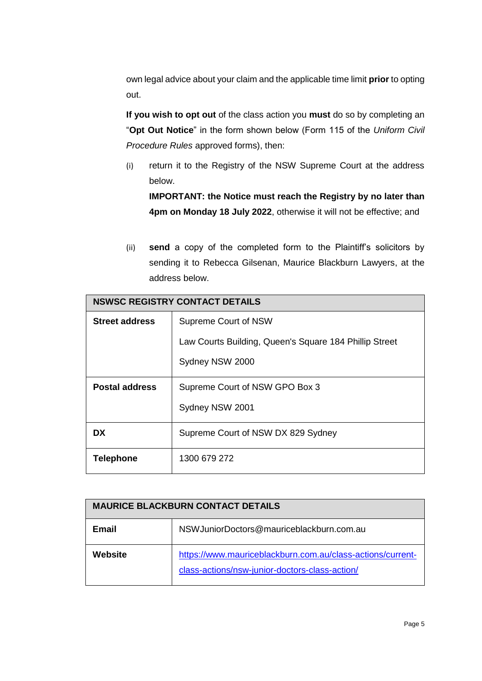own legal advice about your claim and the applicable time limit **prior** to opting out.

**If you wish to opt out** of the class action you **must** do so by completing an "**Opt Out Notice**" in the form shown below (Form 115 of the *Uniform Civil Procedure Rules* approved forms), then:

(i) return it to the Registry of the NSW Supreme Court at the address below.

**IMPORTANT: the Notice must reach the Registry by no later than 4pm on Monday 18 July 2022**, otherwise it will not be effective; and

(ii) **send** a copy of the completed form to the Plaintiff's solicitors by sending it to Rebecca Gilsenan, Maurice Blackburn Lawyers, at the address below.

| <b>NSWSC REGISTRY CONTACT DETAILS</b> |                                                        |  |
|---------------------------------------|--------------------------------------------------------|--|
| <b>Street address</b>                 | Supreme Court of NSW                                   |  |
|                                       | Law Courts Building, Queen's Square 184 Phillip Street |  |
|                                       | Sydney NSW 2000                                        |  |
| <b>Postal address</b>                 | Supreme Court of NSW GPO Box 3                         |  |
|                                       | Sydney NSW 2001                                        |  |
| DX.                                   | Supreme Court of NSW DX 829 Sydney                     |  |
| <b>Telephone</b>                      | 1300 679 272                                           |  |

| <b>MAURICE BLACKBURN CONTACT DETAILS</b> |                                                                                                              |  |
|------------------------------------------|--------------------------------------------------------------------------------------------------------------|--|
| <b>Email</b>                             | NSW Junior Doctors@mauriceblackburn.com.au                                                                   |  |
| Website                                  | https://www.mauriceblackburn.com.au/class-actions/current-<br>class-actions/nsw-junior-doctors-class-action/ |  |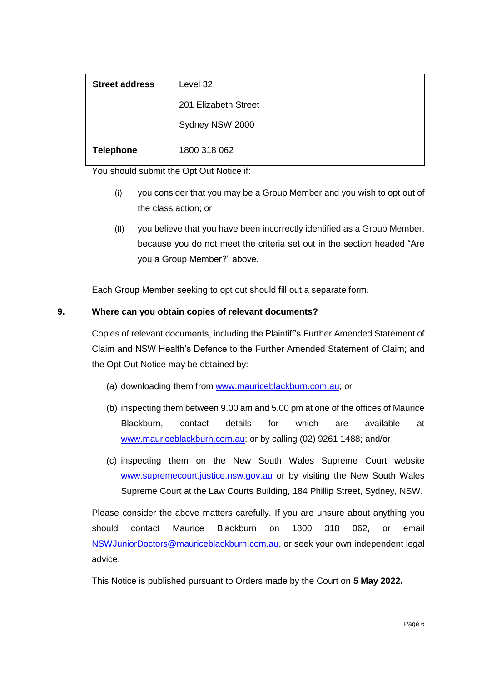| <b>Street address</b> | Level 32             |  |
|-----------------------|----------------------|--|
|                       | 201 Elizabeth Street |  |
|                       | Sydney NSW 2000      |  |
| <b>Telephone</b>      | 1800 318 062         |  |

You should submit the Opt Out Notice if:

- (i) you consider that you may be a Group Member and you wish to opt out of the class action; or
- (ii) you believe that you have been incorrectly identified as a Group Member, because you do not meet the criteria set out in the section headed "Are you a Group Member?" above.

Each Group Member seeking to opt out should fill out a separate form.

# **9. Where can you obtain copies of relevant documents?**

Copies of relevant documents, including the Plaintiff's Further Amended Statement of Claim and NSW Health's Defence to the Further Amended Statement of Claim; and the Opt Out Notice may be obtained by:

- (a) downloading them from [www.mauriceblackburn.com.au;](http://www.mauriceblackburn.com.au/) or
- (b) inspecting them between 9.00 am and 5.00 pm at one of the offices of Maurice Blackburn, contact details for which are available at [www.mauriceblackburn.com.au;](http://www.mauriceblackburn.com.au/) or by calling (02) 9261 1488; and/or
- (c) inspecting them on the New South Wales Supreme Court website [www.supremecourt.justice.nsw.gov.au](http://www.supremecourt.justice.nsw.gov.au/) or by visiting the New South Wales Supreme Court at the Law Courts Building, 184 Phillip Street, Sydney, NSW.

Please consider the above matters carefully. If you are unsure about anything you should contact Maurice Blackburn on 1800 318 062, or email [NSWJuniorDoctors@mauriceblackburn.com.au,](mailto:NSWJuniorDoctors@mauriceblackburn.com.au) or seek your own independent legal advice.

This Notice is published pursuant to Orders made by the Court on **5 May 2022.**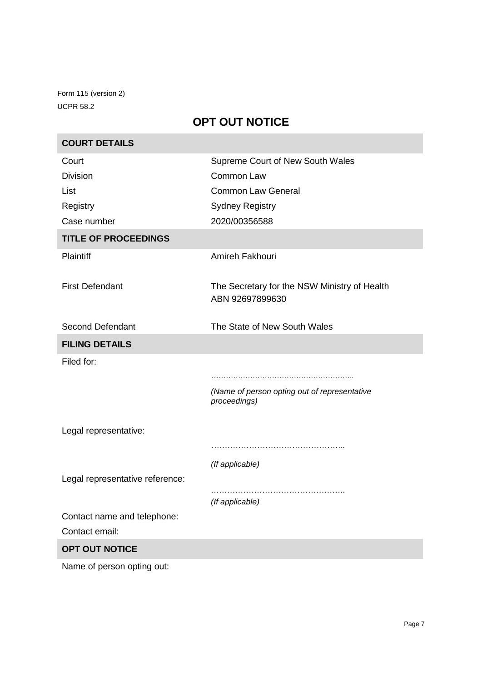Form 115 (version 2) UCPR 58.2

**COL** 

# **OPT OUT NOTICE**

| <b>COURT DETAILS</b>            |                                                                 |
|---------------------------------|-----------------------------------------------------------------|
| Court                           | Supreme Court of New South Wales                                |
| <b>Division</b>                 | Common Law                                                      |
| List                            | <b>Common Law General</b>                                       |
| Registry                        | <b>Sydney Registry</b>                                          |
| Case number                     | 2020/00356588                                                   |
| <b>TITLE OF PROCEEDINGS</b>     |                                                                 |
| <b>Plaintiff</b>                | Amireh Fakhouri                                                 |
| <b>First Defendant</b>          | The Secretary for the NSW Ministry of Health<br>ABN 92697899630 |
| <b>Second Defendant</b>         | The State of New South Wales                                    |
| <b>FILING DETAILS</b>           |                                                                 |
| Filed for:                      |                                                                 |
|                                 |                                                                 |
|                                 | (Name of person opting out of representative<br>proceedings)    |
| Legal representative:           |                                                                 |
|                                 |                                                                 |
|                                 | (If applicable)                                                 |
| Legal representative reference: |                                                                 |
|                                 | (If applicable)                                                 |
| Contact name and telephone:     |                                                                 |
| Contact email:                  |                                                                 |
| OPT OUT NOTICE                  |                                                                 |
| Name of person opting out:      |                                                                 |

۰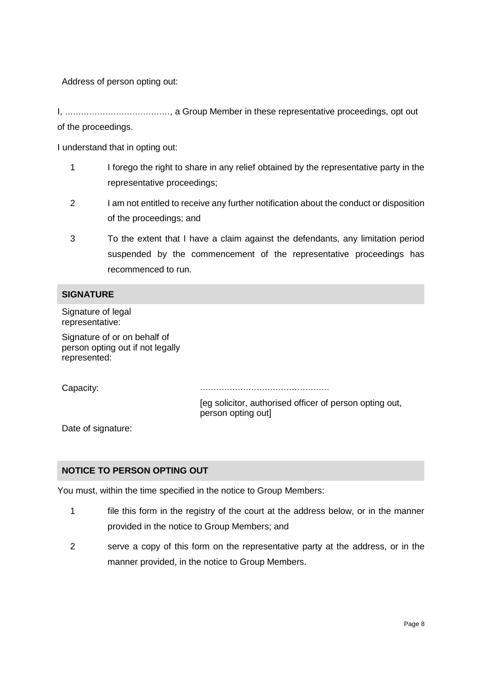Address of person opting out:

I, …………………………………, a Group Member in these representative proceedings, opt out of the proceedings.

I understand that in opting out:

- 1 I forego the right to share in any relief obtained by the representative party in the representative proceedings;
- 2 I am not entitled to receive any further notification about the conduct or disposition of the proceedings; and
- 3 To the extent that I have a claim against the defendants, any limitation period suspended by the commencement of the representative proceedings has recommenced to run.

## **SIGNATURE**

Signature of legal representative:

Signature of or on behalf of person opting out if not legally represented:

Capacity: …………………………………………

[eg solicitor, authorised officer of person opting out, person opting out]

Date of signature:

## **NOTICE TO PERSON OPTING OUT**

You must, within the time specified in the notice to Group Members:

- 1 file this form in the registry of the court at the address below, or in the manner provided in the notice to Group Members; and
- 2 serve a copy of this form on the representative party at the address, or in the manner provided, in the notice to Group Members.